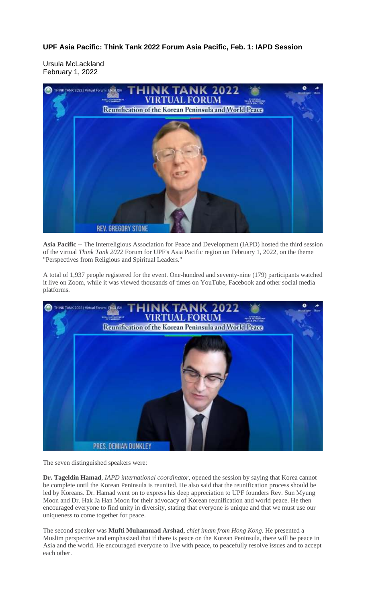**UPF Asia Pacific: Think Tank 2022 Forum Asia Pacific, Feb. 1: IAPD Session**

Ursula McLackland February 1, 2022



**Asia Pacific** -- The Interreligious Association for Peace and Development (IAPD) hosted the third session of the virtual *Think Tank 2022* Forum for UPF's Asia Pacific region on February 1, 2022, on the theme "Perspectives from Religious and Spiritual Leaders."

A total of 1,937 people registered for the event. One-hundred and seventy-nine (179) participants watched it live on Zoom, while it was viewed thousands of times on YouTube, Facebook and other social media platforms.



The seven distinguished speakers were:

**Dr. Tageldin Hamad**, *IAPD international coordinator*, opened the session by saying that Korea cannot be complete until the Korean Peninsula is reunited. He also said that the reunification process should be led by Koreans. Dr. Hamad went on to express his deep appreciation to UPF founders Rev. Sun Myung Moon and Dr. Hak Ja Han Moon for their advocacy of Korean reunification and world peace. He then encouraged everyone to find unity in diversity, stating that everyone is unique and that we must use our uniqueness to come together for peace.

The second speaker was **Mufti Muhammad Arshad**, *chief imam from Hong Kong*. He presented a Muslim perspective and emphasized that if there is peace on the Korean Peninsula, there will be peace in Asia and the world. He encouraged everyone to live with peace, to peacefully resolve issues and to accept each other.